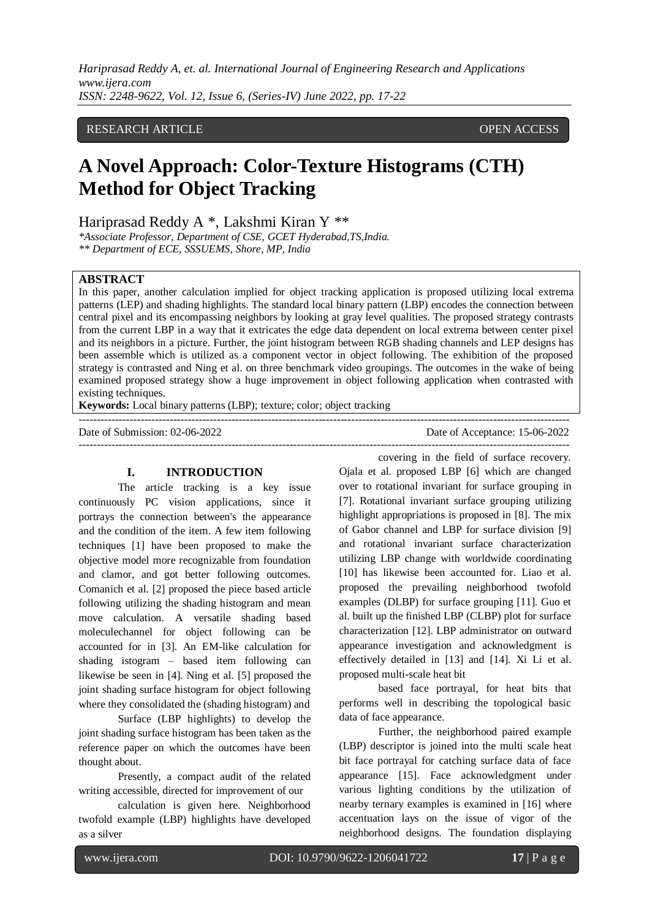*Hariprasad Reddy A, et. al. International Journal of Engineering Research and Applications www.ijera.com ISSN: 2248-9622, Vol. 12, Issue 6, (Series-IV) June 2022, pp. 17-22*

## RESEARCH ARTICLE **OPEN ACCESS**

# **A Novel Approach: Color-Texture Histograms (CTH) Method for Object Tracking**

Hariprasad Reddy A \*, Lakshmi Kiran Y \*\*

*\*Associate Professor, Department of CSE, GCET Hyderabad,TS,India. \*\* Department of ECE, SSSUEMS, Shore, MP, India*

#### **ABSTRACT**

In this paper, another calculation implied for object tracking application is proposed utilizing local extrema patterns (LEP) and shading highlights. The standard local binary pattern (LBP) encodes the connection between central pixel and its encompassing neighbors by looking at gray level qualities. The proposed strategy contrasts from the current LBP in a way that it extricates the edge data dependent on local extrema between center pixel and its neighbors in a picture. Further, the joint histogram between RGB shading channels and LEP designs has been assemble which is utilized as a component vector in object following. The exhibition of the proposed strategy is contrasted and Ning et al. on three benchmark video groupings. The outcomes in the wake of being examined proposed strategy show a huge improvement in object following application when contrasted with existing techniques.

---------------------------------------------------------------------------------------------------------------------------------------

---------------------------------------------------------------------------------------------------------------------------------------

**Keywords:** Local binary patterns (LBP); texture; color; object tracking

#### **I. INTRODUCTION**

The article tracking is a key issue continuously PC vision applications, since it portrays the connection between's the appearance and the condition of the item. A few item following techniques [1] have been proposed to make the objective model more recognizable from foundation and clamor, and got better following outcomes. Comanich et al. [2] proposed the piece based article following utilizing the shading histogram and mean move calculation. A versatile shading based moleculechannel for object following can be accounted for in [3]. An EM-like calculation for shading istogram – based item following can likewise be seen in [4]. Ning et al. [5] proposed the joint shading surface histogram for object following where they consolidated the (shading histogram) and

Surface (LBP highlights) to develop the joint shading surface histogram has been taken as the reference paper on which the outcomes have been thought about.

Presently, a compact audit of the related writing accessible, directed for improvement of our

calculation is given here. Neighborhood twofold example (LBP) highlights have developed as a silver

Date of Submission: 02-06-2022 Date of Acceptance: 15-06-2022

covering in the field of surface recovery.

Ojala et al. proposed LBP [6] which are changed over to rotational invariant for surface grouping in [7]. Rotational invariant surface grouping utilizing highlight appropriations is proposed in [8]. The mix of Gabor channel and LBP for surface division [9] and rotational invariant surface characterization utilizing LBP change with worldwide coordinating [10] has likewise been accounted for. Liao et al. proposed the prevailing neighborhood twofold examples (DLBP) for surface grouping [11]. Guo et al. built up the finished LBP (CLBP) plot for surface characterization [12]. LBP administrator on outward appearance investigation and acknowledgment is effectively detailed in [13] and [14]. Xi Li et al. proposed multi-scale heat bit

based face portrayal, for heat bits that performs well in describing the topological basic data of face appearance.

Further, the neighborhood paired example (LBP) descriptor is joined into the multi scale heat bit face portrayal for catching surface data of face appearance [15]. Face acknowledgment under various lighting conditions by the utilization of nearby ternary examples is examined in [16] where accentuation lays on the issue of vigor of the neighborhood designs. The foundation displaying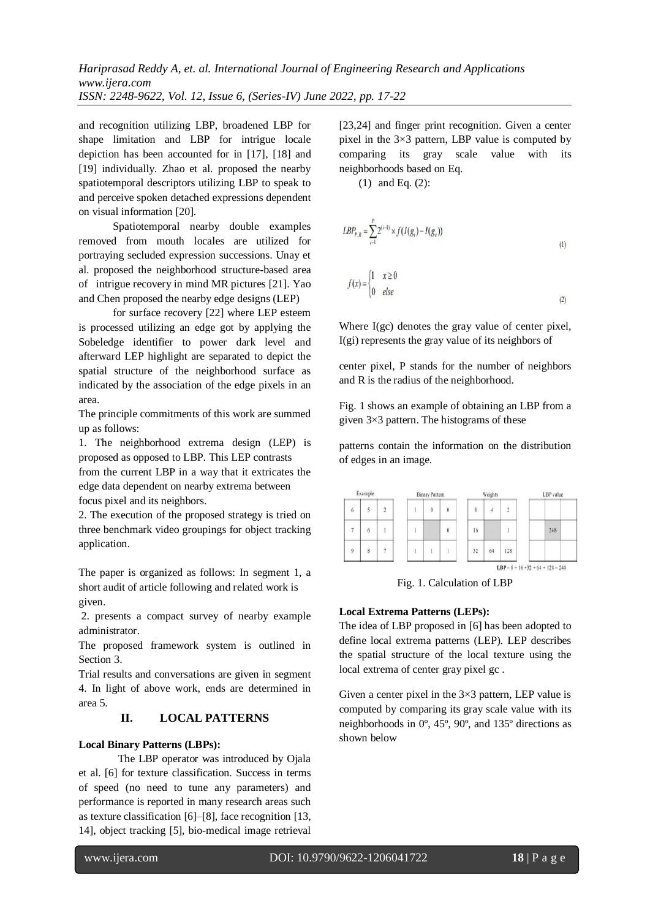and recognition utilizing LBP, broadened LBP for shape limitation and LBP for intrigue locale depiction has been accounted for in [17], [18] and [19] individually. Zhao et al. proposed the nearby spatiotemporal descriptors utilizing LBP to speak to and perceive spoken detached expressions dependent on visual information [20].

Spatiotemporal nearby double examples removed from mouth locales are utilized for portraying secluded expression successions. Unay et al. proposed the neighborhood structure-based area of-intrigue recovery in mind MR pictures [21]. Yao and Chen proposed the nearby edge designs (LEP)

for surface recovery [22] where LEP esteem is processed utilizing an edge got by applying the Sobeledge identifier to power dark level and afterward LEP highlight are separated to depict the spatial structure of the neighborhood surface as indicated by the association of the edge pixels in an area.

The principle commitments of this work are summed up as follows:

1. The neighborhood extrema design (LEP) is proposed as opposed to LBP. This LEP contrasts from the current LBP in a way that it extricates the edge data dependent on nearby extrema between focus pixel and its neighbors.

2. The execution of the proposed strategy is tried on three benchmark video groupings for object tracking application.

The paper is organized as follows: In segment 1, a short audit of article following and related work is given.

2. presents a compact survey of nearby example administrator.

The proposed framework system is outlined in Section 3.

Trial results and conversations are given in segment 4. In light of above work, ends are determined in area 5.

# **II. LOCAL PATTERNS**

#### **Local Binary Patterns (LBPs):**

The LBP operator was introduced by Ojala et al. [6] for texture classification. Success in terms of speed (no need to tune any parameters) and performance is reported in many research areas such as texture classification [6]–[8], face recognition [13, 14], object tracking [5], bio-medical image retrieval [23,24] and finger print recognition. Given a center pixel in the 3×3 pattern, LBP value is computed by comparing its gray scale value with its neighborhoods based on Eq.

(1) and Eq. (2):

$$
LBP_{P,R} = \sum_{i=1}^{P} 2^{(i-1)} \times f(I(g_i) - I(g_c))
$$
  

$$
f(x) = \begin{cases} 1 & x \ge 0 \\ 0 & else \end{cases}
$$
 (1)

Where I(gc) denotes the gray value of center pixel, I(gi) represents the gray value of its neighbors of

center pixel, P stands for the number of neighbors and R is the radius of the neighborhood.

Fig. 1 shows an example of obtaining an LBP from a given 3×3 pattern. The histograms of these

patterns contain the information on the distribution of edges in an image.

| Example        |                |                | <b>Binary Pattern</b> |            |            |  | Weights |    |                                      |  | LBP value |     |  |
|----------------|----------------|----------------|-----------------------|------------|------------|--|---------|----|--------------------------------------|--|-----------|-----|--|
| $\overline{6}$ |                | $\overline{2}$ |                       | $\ddot{0}$ | $\ddot{0}$ |  | 8       |    | 2                                    |  |           |     |  |
| $\overline{7}$ | $\overline{6}$ |                |                       |            | $\bf{0}$   |  | 16      |    |                                      |  |           | 248 |  |
| $\overline{9}$ | 8              | ٠              |                       |            |            |  | 32      | 64 | 128                                  |  |           |     |  |
|                |                |                |                       |            |            |  |         |    | $LBP = 8 + 16 + 32 + 64 + 128 = 248$ |  |           |     |  |

Fig. 1. Calculation of LBP

#### **Local Extrema Patterns (LEPs):**

The idea of LBP proposed in [6] has been adopted to define local extrema patterns (LEP). LEP describes the spatial structure of the local texture using the local extrema of center gray pixel gc .

Given a center pixel in the  $3\times3$  pattern, LEP value is computed by comparing its gray scale value with its neighborhoods in 0º, 45º, 90º, and 135º directions as shown below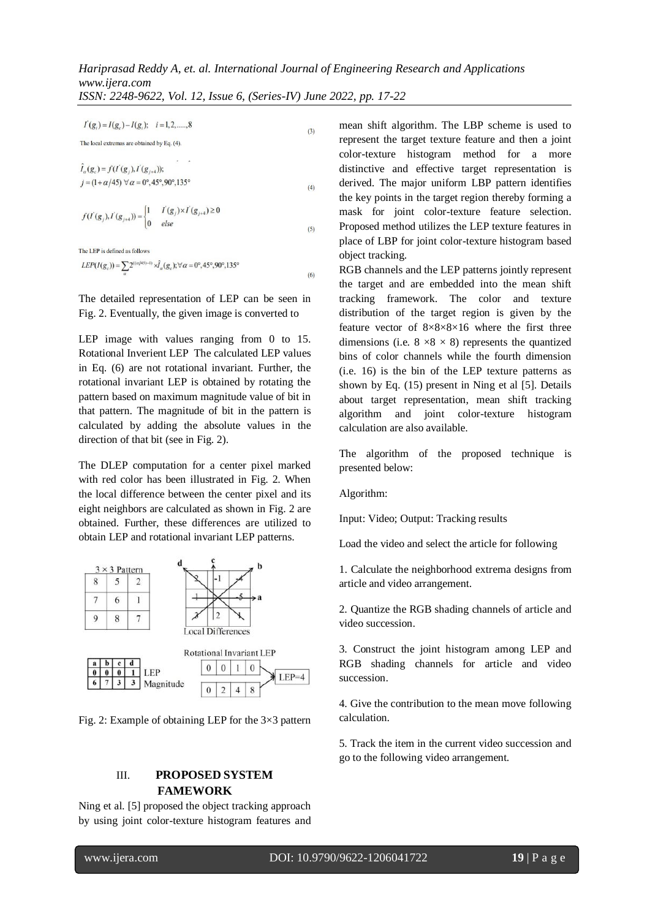$(3)$ 

 $(6)$ 

*ISSN: 2248-9622, Vol. 12, Issue 6, (Series-IV) June 2022, pp. 17-22*

 $I'(g_i) = I(g_c) - I(g_i); \quad i = 1, 2, \dots, 8$ 

 $\hat{I}_{a}(g_{c}) = f(I^{'}(g_{i}), I^{'}(g_{i+4}))$ ;  $j = (1 + \alpha/45)$   $\forall \alpha = 0^{\circ}, 45^{\circ}, 90^{\circ}, 135^{\circ}$  $(4)$ 

$$
f(I'(g_j), I'(g_{j+4})) = \begin{cases} 1 & I'(g_j) \times I'(g_{j+4}) \ge 0 \\ 0 & else \end{cases}
$$
 (5)

The LEP is defined as follows

The local extremas are obtained by Eq. (4).

$$
LEP(I(g_c)) = \sum_{\alpha} 2^{((\alpha/45)-1)} \times \hat{J}_{\alpha}(g_c); \forall \alpha = 0^{\circ}, 45^{\circ}, 90^{\circ}, 135^{\circ}
$$

The detailed representation of LEP can be seen in Fig. 2. Eventually, the given image is converted to

LEP image with values ranging from 0 to 15. Rotational Inverient LEP The calculated LEP values in Eq. (6) are not rotational invariant. Further, the rotational invariant LEP is obtained by rotating the pattern based on maximum magnitude value of bit in that pattern. The magnitude of bit in the pattern is calculated by adding the absolute values in the direction of that bit (see in Fig. 2).

The DLEP computation for a center pixel marked with red color has been illustrated in Fig. 2. When the local difference between the center pixel and its eight neighbors are calculated as shown in Fig. 2 are obtained. Further, these differences are utilized to obtain LEP and rotational invariant LEP patterns.



Fig. 2: Example of obtaining LEP for the 3×3 pattern

# III. **PROPOSED SYSTEM FAMEWORK**

Ning et al. [5] proposed the object tracking approach by using joint color-texture histogram features and mean shift algorithm. The LBP scheme is used to represent the target texture feature and then a joint color-texture histogram method for a more distinctive and effective target representation is derived. The major uniform LBP pattern identifies the key points in the target region thereby forming a mask for joint color-texture feature selection. Proposed method utilizes the LEP texture features in place of LBP for joint color-texture histogram based object tracking.

RGB channels and the LEP patterns jointly represent the target and are embedded into the mean shift tracking framework. The color and texture distribution of the target region is given by the feature vector of  $8\times8\times8\times16$  where the first three dimensions (i.e.  $8 \times 8 \times 8$ ) represents the quantized bins of color channels while the fourth dimension (i.e. 16) is the bin of the LEP texture patterns as shown by Eq. (15) present in Ning et al [5]. Details about target representation, mean shift tracking algorithm and joint color-texture histogram calculation are also available.

The algorithm of the proposed technique is presented below:

Algorithm:

Input: Video; Output: Tracking results

Load the video and select the article for following

1. Calculate the neighborhood extrema designs from article and video arrangement.

2. Quantize the RGB shading channels of article and video succession.

3. Construct the joint histogram among LEP and RGB shading channels for article and video succession.

4. Give the contribution to the mean move following calculation.

5. Track the item in the current video succession and go to the following video arrangement.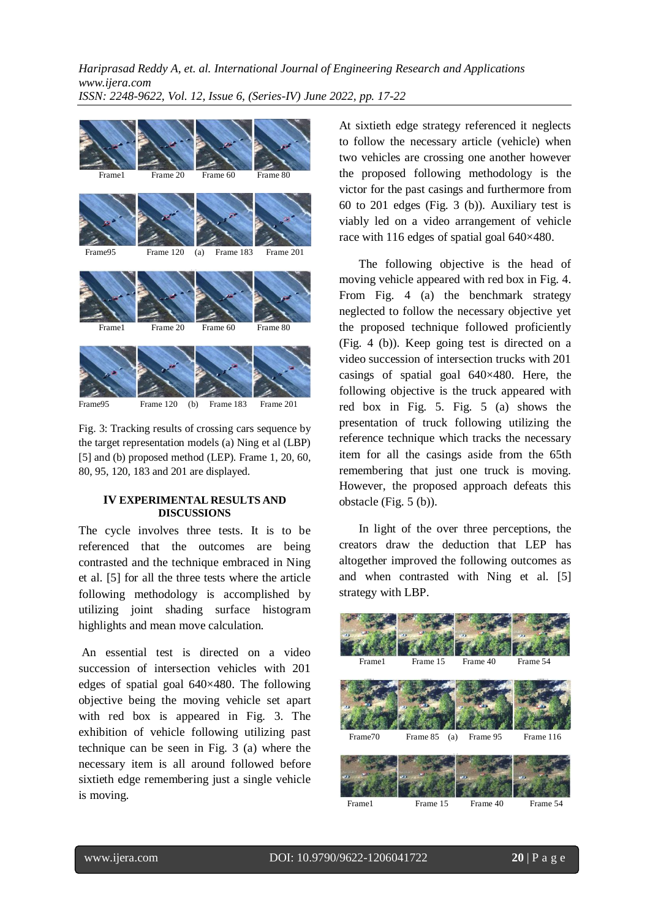*Hariprasad Reddy A, et. al. International Journal of Engineering Research and Applications www.ijera.com ISSN: 2248-9622, Vol. 12, Issue 6, (Series-IV) June 2022, pp. 17-22*



Frame95 Frame 120 (b) Frame 183 Frame 201

Fig. 3: Tracking results of crossing cars sequence by the target representation models (a) Ning et al (LBP) [5] and (b) proposed method (LEP). Frame 1, 20, 60, 80, 95, 120, 183 and 201 are displayed.

#### **IV EXPERIMENTAL RESULTS AND DISCUSSIONS**

The cycle involves three tests. It is to be referenced that the outcomes are being contrasted and the technique embraced in Ning et al. [5] for all the three tests where the article following methodology is accomplished by utilizing joint shading surface histogram highlights and mean move calculation.

An essential test is directed on a video succession of intersection vehicles with 201 edges of spatial goal 640×480. The following objective being the moving vehicle set apart with red box is appeared in Fig. 3. The exhibition of vehicle following utilizing past technique can be seen in Fig. 3 (a) where the necessary item is all around followed before sixtieth edge remembering just a single vehicle is moving.

At sixtieth edge strategy referenced it neglects to follow the necessary article (vehicle) when two vehicles are crossing one another however the proposed following methodology is the victor for the past casings and furthermore from 60 to 201 edges (Fig. 3 (b)). Auxiliary test is viably led on a video arrangement of vehicle race with 116 edges of spatial goal 640×480.

The following objective is the head of moving vehicle appeared with red box in Fig. 4. From Fig. 4 (a) the benchmark strategy neglected to follow the necessary objective yet the proposed technique followed proficiently (Fig. 4 (b)). Keep going test is directed on a video succession of intersection trucks with 201 casings of spatial goal 640×480. Here, the following objective is the truck appeared with red box in Fig. 5. Fig. 5 (a) shows the presentation of truck following utilizing the reference technique which tracks the necessary item for all the casings aside from the 65th remembering that just one truck is moving. However, the proposed approach defeats this obstacle (Fig. 5 (b)).

In light of the over three perceptions, the creators draw the deduction that LEP has altogether improved the following outcomes as and when contrasted with Ning et al. [5] strategy with LBP.

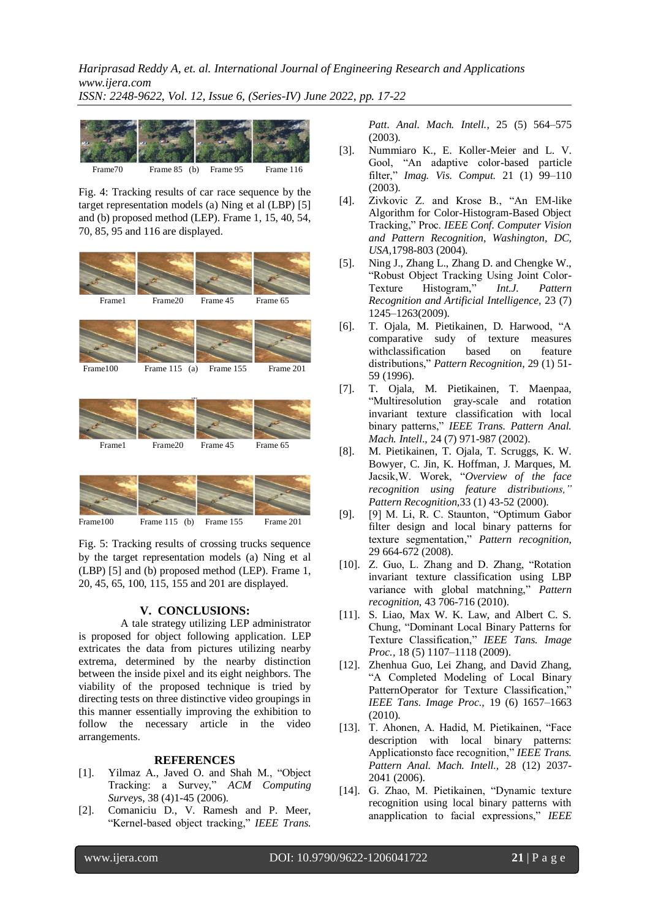*Hariprasad Reddy A, et. al. International Journal of Engineering Research and Applications www.ijera.com*

*ISSN: 2248-9622, Vol. 12, Issue 6, (Series-IV) June 2022, pp. 17-22*



Fig. 4: Tracking results of car race sequence by the target representation models (a) Ning et al (LBP) [5] and (b) proposed method (LEP). Frame 1, 15, 40, 54, 70, 85, 95 and 116 are displayed.



Frame 100 Frame 115 (b) Frame 155 Frame 201

Fig. 5: Tracking results of crossing trucks sequence by the target representation models (a) Ning et al (LBP) [5] and (b) proposed method (LEP). Frame 1, 20, 45, 65, 100, 115, 155 and 201 are displayed.

### **V. CONCLUSIONS:**

A tale strategy utilizing LEP administrator is proposed for object following application. LEP extricates the data from pictures utilizing nearby extrema, determined by the nearby distinction between the inside pixel and its eight neighbors. The viability of the proposed technique is tried by directing tests on three distinctive video groupings in this manner essentially improving the exhibition to follow the necessary article in the video arrangements.

#### **REFERENCES**

- [1]. Yilmaz A., Javed O. and Shah M., "Object Tracking: a Survey," *ACM Computing Survey*s, 38 (4)1-45 (2006).
- [2]. Comaniciu D., V. Ramesh and P. Meer, "Kernel-based object tracking," *IEEE Trans.*

*Patt. Anal. Mach. Intell.,* 25 (5) 564–575 (2003).

- [3]. Nummiaro K., E. Koller-Meier and L. V. Gool, "An adaptive color-based particle filter," *Imag. Vis. Comput.* 21 (1) 99–110 (2003).
- [4]. Zivkovic Z. and Krose B., "An EM-like Algorithm for Color-Histogram-Based Object Tracking," Proc. *IEEE Conf. Computer Vision and Pattern Recognition, Washington, DC, USA,*1798-803 (2004).
- [5]. Ning J., Zhang L., Zhang D. and Chengke W., "Robust Object Tracking Using Joint Color-Texture Histogram," *Int.J. Pattern Recognition and Artificial Intelligence,* 23 (7) 1245–1263(2009).
- [6]. T. Ojala, M. Pietikainen, D. Harwood, "A comparative sudy of texture measures withclassification based on feature distributions," *Pattern Recognition,* 29 (1) 51- 59 (1996).
- [7]. T. Ojala, M. Pietikainen, T. Maenpaa, "Multiresolution gray-scale and rotation invariant texture classification with local binary patterns," *IEEE Trans. Pattern Anal. Mach. Intell*., 24 (7) 971-987 (2002).
- [8]. M. Pietikainen, T. Ojala, T. Scruggs, K. W. Bowyer, C. Jin, K. Hoffman, J. Marques, M. Jacsik,W. Worek, "*Overview of the face recognition using feature distributions," Pattern Recognition,*33 (1) 43-52 (2000).
- [9]. [9] M. Li, R. C. Staunton, "Optimum Gabor filter design and local binary patterns for texture segmentation," *Pattern recognition*, 29 664-672 (2008).
- [10]. Z. Guo, L. Zhang and D. Zhang, "Rotation invariant texture classification using LBP variance with global matchning," *Pattern recognition*, 43 706-716 (2010).
- [11]. S. Liao, Max W. K. Law, and Albert C. S. Chung, "Dominant Local Binary Patterns for Texture Classification," *IEEE Tans. Image Proc.,* 18 (5) 1107–1118 (2009).
- [12]. Zhenhua Guo, Lei Zhang, and David Zhang, "A Completed Modeling of Local Binary PatternOperator for Texture Classification," *IEEE Tans. Image Proc.,* 19 (6) 1657–1663 (2010).
- [13]. T. Ahonen, A. Hadid, M. Pietikainen, "Face description with local binary patterns: Applicationsto face recognition," *IEEE Trans. Pattern Anal. Mach. Intell.,* 28 (12) 2037- 2041 (2006).
- [14]. G. Zhao, M. Pietikainen, "Dynamic texture recognition using local binary patterns with anapplication to facial expressions," *IEEE*